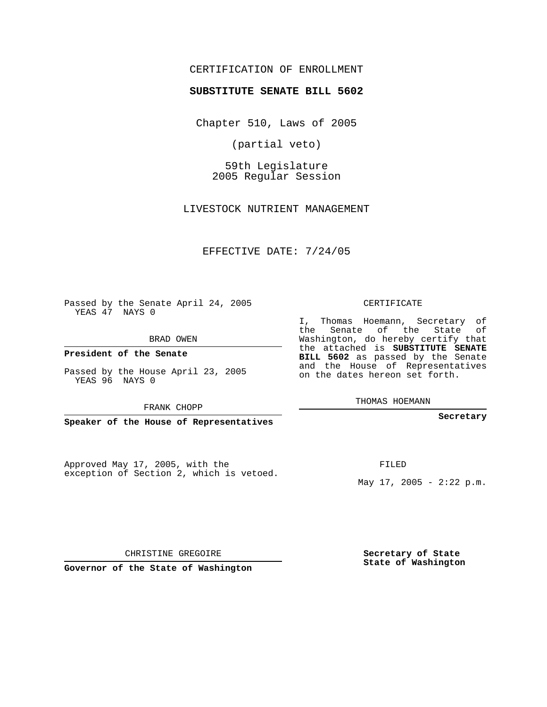## CERTIFICATION OF ENROLLMENT

## **SUBSTITUTE SENATE BILL 5602**

Chapter 510, Laws of 2005

(partial veto)

59th Legislature 2005 Regular Session

LIVESTOCK NUTRIENT MANAGEMENT

EFFECTIVE DATE: 7/24/05

Passed by the Senate April 24, 2005 YEAS 47 NAYS 0

BRAD OWEN

**President of the Senate**

Passed by the House April 23, 2005 YEAS 96 NAYS 0

FRANK CHOPP

**Speaker of the House of Representatives**

Approved May 17, 2005, with the exception of Section 2, which is vetoed. CERTIFICATE

I, Thomas Hoemann, Secretary of the Senate of the State of Washington, do hereby certify that the attached is **SUBSTITUTE SENATE BILL 5602** as passed by the Senate and the House of Representatives on the dates hereon set forth.

THOMAS HOEMANN

**Secretary**

FILED

May  $17$ ,  $2005 - 2:22 \text{ p.m.}$ 

**Secretary of State State of Washington**

CHRISTINE GREGOIRE

**Governor of the State of Washington**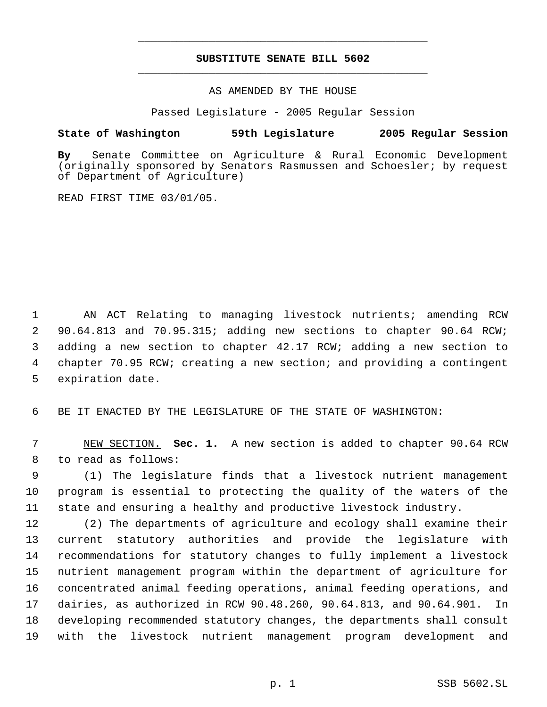## **SUBSTITUTE SENATE BILL 5602** \_\_\_\_\_\_\_\_\_\_\_\_\_\_\_\_\_\_\_\_\_\_\_\_\_\_\_\_\_\_\_\_\_\_\_\_\_\_\_\_\_\_\_\_\_

\_\_\_\_\_\_\_\_\_\_\_\_\_\_\_\_\_\_\_\_\_\_\_\_\_\_\_\_\_\_\_\_\_\_\_\_\_\_\_\_\_\_\_\_\_

AS AMENDED BY THE HOUSE

Passed Legislature - 2005 Regular Session

## **State of Washington 59th Legislature 2005 Regular Session**

**By** Senate Committee on Agriculture & Rural Economic Development (originally sponsored by Senators Rasmussen and Schoesler; by request of Department of Agriculture)

READ FIRST TIME 03/01/05.

 AN ACT Relating to managing livestock nutrients; amending RCW 90.64.813 and 70.95.315; adding new sections to chapter 90.64 RCW; adding a new section to chapter 42.17 RCW; adding a new section to chapter 70.95 RCW; creating a new section; and providing a contingent expiration date.

BE IT ENACTED BY THE LEGISLATURE OF THE STATE OF WASHINGTON:

 NEW SECTION. **Sec. 1.** A new section is added to chapter 90.64 RCW to read as follows:

 (1) The legislature finds that a livestock nutrient management program is essential to protecting the quality of the waters of the state and ensuring a healthy and productive livestock industry.

 (2) The departments of agriculture and ecology shall examine their current statutory authorities and provide the legislature with recommendations for statutory changes to fully implement a livestock nutrient management program within the department of agriculture for concentrated animal feeding operations, animal feeding operations, and dairies, as authorized in RCW 90.48.260, 90.64.813, and 90.64.901. In developing recommended statutory changes, the departments shall consult with the livestock nutrient management program development and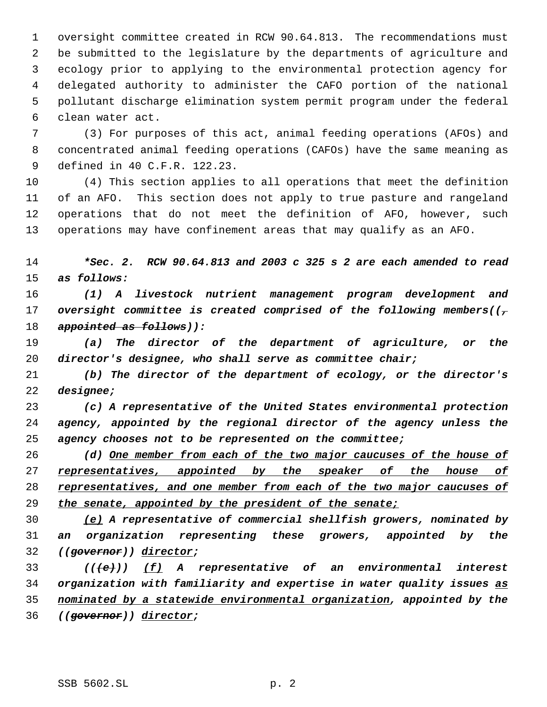oversight committee created in RCW 90.64.813. The recommendations must be submitted to the legislature by the departments of agriculture and ecology prior to applying to the environmental protection agency for delegated authority to administer the CAFO portion of the national pollutant discharge elimination system permit program under the federal clean water act.

 (3) For purposes of this act, animal feeding operations (AFOs) and concentrated animal feeding operations (CAFOs) have the same meaning as defined in 40 C.F.R. 122.23.

 (4) This section applies to all operations that meet the definition of an AFO. This section does not apply to true pasture and rangeland operations that do not meet the definition of AFO, however, such operations may have confinement areas that may qualify as an AFO.

 *\*Sec. 2. RCW 90.64.813 and 2003 c 325 s 2 are each amended to read as follows:*

 *(1) A livestock nutrient management program development and oversight committee is created comprised of the following members((, appointed as follows)):*

 *(a) The director of the department of agriculture, or the director's designee, who shall serve as committee chair;*

 *(b) The director of the department of ecology, or the director's designee;*

 *(c) A representative of the United States environmental protection agency, appointed by the regional director of the agency unless the agency chooses not to be represented on the committee;*

 *(d) One member from each of the two major caucuses of the house of representatives, appointed by the speaker of the house of representatives, and one member from each of the two major caucuses of the senate, appointed by the president of the senate;*

 *(e) A representative of commercial shellfish growers, nominated by an organization representing these growers, appointed by the ((governor)) director;*

 *(((e))) (f) A representative of an environmental interest organization with familiarity and expertise in water quality issues as nominated by a statewide environmental organization, appointed by the ((governor)) director;*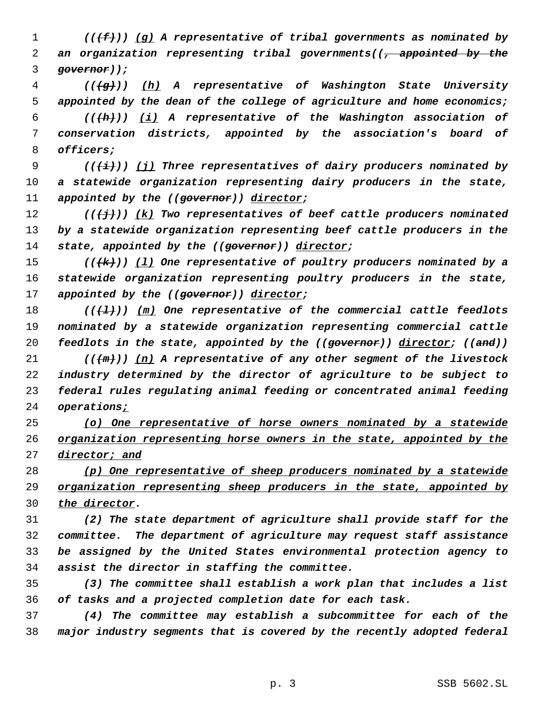*(((f))) (g) A representative of tribal governments as nominated by an organization representing tribal governments((, appointed by the governor));*

 *(((g))) (h) A representative of Washington State University appointed by the dean of the college of agriculture and home economics; (((h))) (i) A representative of the Washington association of*

 *conservation districts, appointed by the association's board of officers;*

 *(((i))) (j) Three representatives of dairy producers nominated by a statewide organization representing dairy producers in the state, appointed by the ((governor)) director;*

 *(((j))) (k) Two representatives of beef cattle producers nominated by a statewide organization representing beef cattle producers in the state, appointed by the ((governor)) director;*

 *(((k))) (l) One representative of poultry producers nominated by a statewide organization representing poultry producers in the state, appointed by the ((governor)) director;*

 *(((l))) (m) One representative of the commercial cattle feedlots nominated by a statewide organization representing commercial cattle feedlots in the state, appointed by the ((governor)) director; ((and))*

 *(((m))) (n) A representative of any other segment of the livestock industry determined by the director of agriculture to be subject to federal rules regulating animal feeding or concentrated animal feeding operations;*

 *(o) One representative of horse owners nominated by a statewide organization representing horse owners in the state, appointed by the director; and*

 *(p) One representative of sheep producers nominated by a statewide organization representing sheep producers in the state, appointed by the director.*

 *(2) The state department of agriculture shall provide staff for the committee. The department of agriculture may request staff assistance be assigned by the United States environmental protection agency to assist the director in staffing the committee.*

 *(3) The committee shall establish a work plan that includes a list of tasks and a projected completion date for each task.*

 *(4) The committee may establish a subcommittee for each of the major industry segments that is covered by the recently adopted federal*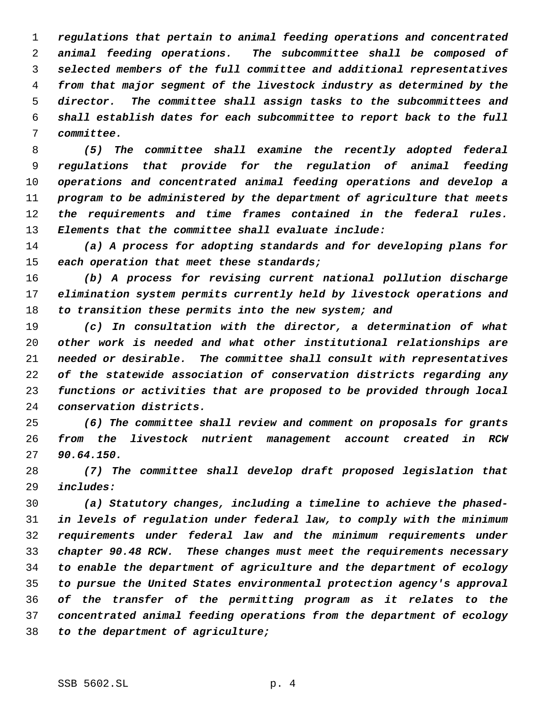*regulations that pertain to animal feeding operations and concentrated animal feeding operations. The subcommittee shall be composed of selected members of the full committee and additional representatives from that major segment of the livestock industry as determined by the director. The committee shall assign tasks to the subcommittees and shall establish dates for each subcommittee to report back to the full committee.*

 *(5) The committee shall examine the recently adopted federal regulations that provide for the regulation of animal feeding operations and concentrated animal feeding operations and develop a program to be administered by the department of agriculture that meets the requirements and time frames contained in the federal rules. Elements that the committee shall evaluate include:*

 *(a) A process for adopting standards and for developing plans for each operation that meet these standards;*

 *(b) A process for revising current national pollution discharge elimination system permits currently held by livestock operations and to transition these permits into the new system; and*

 *(c) In consultation with the director, a determination of what other work is needed and what other institutional relationships are needed or desirable. The committee shall consult with representatives of the statewide association of conservation districts regarding any functions or activities that are proposed to be provided through local conservation districts.*

 *(6) The committee shall review and comment on proposals for grants from the livestock nutrient management account created in RCW 90.64.150.*

 *(7) The committee shall develop draft proposed legislation that includes:*

 *(a) Statutory changes, including a timeline to achieve the phased- in levels of regulation under federal law, to comply with the minimum requirements under federal law and the minimum requirements under chapter 90.48 RCW. These changes must meet the requirements necessary to enable the department of agriculture and the department of ecology to pursue the United States environmental protection agency's approval of the transfer of the permitting program as it relates to the concentrated animal feeding operations from the department of ecology to the department of agriculture;*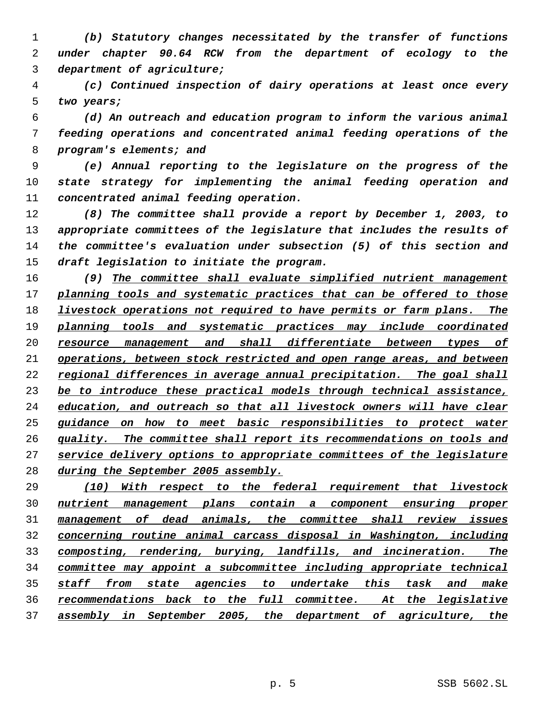*(b) Statutory changes necessitated by the transfer of functions under chapter 90.64 RCW from the department of ecology to the department of agriculture;*

 *(c) Continued inspection of dairy operations at least once every two years;*

 *(d) An outreach and education program to inform the various animal feeding operations and concentrated animal feeding operations of the program's elements; and*

 *(e) Annual reporting to the legislature on the progress of the state strategy for implementing the animal feeding operation and concentrated animal feeding operation.*

 *(8) The committee shall provide a report by December 1, 2003, to appropriate committees of the legislature that includes the results of the committee's evaluation under subsection (5) of this section and draft legislation to initiate the program.*

 *(9) The committee shall evaluate simplified nutrient management planning tools and systematic practices that can be offered to those livestock operations not required to have permits or farm plans. The planning tools and systematic practices may include coordinated resource management and shall differentiate between types of operations, between stock restricted and open range areas, and between regional differences in average annual precipitation. The goal shall be to introduce these practical models through technical assistance, education, and outreach so that all livestock owners will have clear guidance on how to meet basic responsibilities to protect water quality. The committee shall report its recommendations on tools and service delivery options to appropriate committees of the legislature during the September 2005 assembly.*

 *(10) With respect to the federal requirement that livestock nutrient management plans contain a component ensuring proper management of dead animals, the committee shall review issues concerning routine animal carcass disposal in Washington, including composting, rendering, burying, landfills, and incineration. The committee may appoint a subcommittee including appropriate technical staff from state agencies to undertake this task and make recommendations back to the full committee. At the legislative assembly in September 2005, the department of agriculture, the*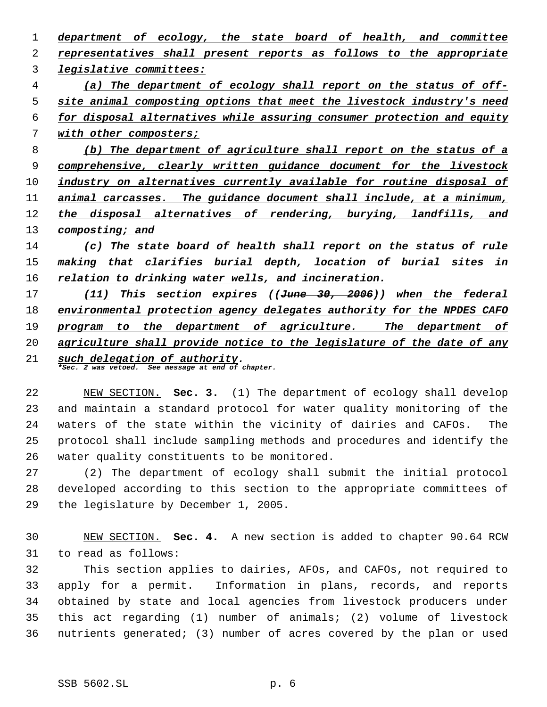| 1  | department of ecology, the state board of<br>health, and<br>committee               |
|----|-------------------------------------------------------------------------------------|
| 2  | representatives shall present reports as follows to the appropriate                 |
| 3  | legislative committees:                                                             |
| 4  | (a) The department of ecology shall report on the status of off-                    |
| 5  | site animal composting options that meet the livestock industry's need              |
| 6  | for disposal alternatives while assuring consumer protection and equity             |
| 7  | with other composters;                                                              |
| 8  | (b) The department of agriculture shall report on the status of a                   |
| 9  | comprehensive, clearly written guidance document for the livestock                  |
| 10 | industry on alternatives currently available for routine disposal of                |
| 11 | animal carcasses. The guidance document shall include, at a minimum,                |
| 12 | the disposal alternatives of rendering, burying, landfills, and                     |
| 13 | composting; and                                                                     |
| 14 | (c) The state board of health shall report on the status of rule                    |
| 15 | making that clarifies burial depth, location of burial sites<br>in                  |
| 16 | relation to drinking water wells, and incineration.                                 |
| 17 | $(11)$ This section expires $((\text{June } 30, 2006))$ when the federal            |
| 18 | environmental protection agency delegates authority for the NPDES CAFO              |
| 19 | the department of agriculture.<br>The department<br>to<br>оf<br>program             |
| 20 | agriculture shall provide notice to the legislature of the date of any              |
| 21 | such delegation of authority.<br>*Sec. 2 was vetoed. See message at end of chapter. |

 NEW SECTION. **Sec. 3.** (1) The department of ecology shall develop and maintain a standard protocol for water quality monitoring of the waters of the state within the vicinity of dairies and CAFOs. The protocol shall include sampling methods and procedures and identify the water quality constituents to be monitored.

 (2) The department of ecology shall submit the initial protocol developed according to this section to the appropriate committees of the legislature by December 1, 2005.

 NEW SECTION. **Sec. 4.** A new section is added to chapter 90.64 RCW to read as follows:

 This section applies to dairies, AFOs, and CAFOs, not required to apply for a permit. Information in plans, records, and reports obtained by state and local agencies from livestock producers under this act regarding (1) number of animals; (2) volume of livestock nutrients generated; (3) number of acres covered by the plan or used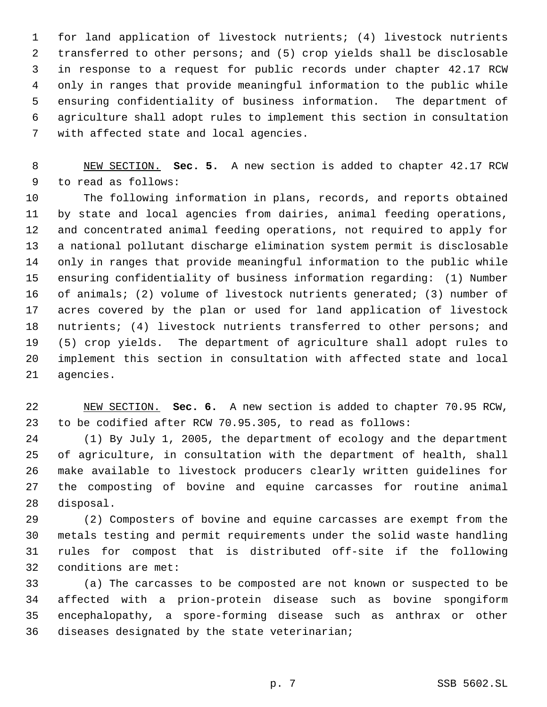for land application of livestock nutrients; (4) livestock nutrients transferred to other persons; and (5) crop yields shall be disclosable in response to a request for public records under chapter 42.17 RCW only in ranges that provide meaningful information to the public while ensuring confidentiality of business information. The department of agriculture shall adopt rules to implement this section in consultation with affected state and local agencies.

 NEW SECTION. **Sec. 5.** A new section is added to chapter 42.17 RCW to read as follows:

 The following information in plans, records, and reports obtained by state and local agencies from dairies, animal feeding operations, and concentrated animal feeding operations, not required to apply for a national pollutant discharge elimination system permit is disclosable only in ranges that provide meaningful information to the public while ensuring confidentiality of business information regarding: (1) Number of animals; (2) volume of livestock nutrients generated; (3) number of acres covered by the plan or used for land application of livestock nutrients; (4) livestock nutrients transferred to other persons; and (5) crop yields. The department of agriculture shall adopt rules to implement this section in consultation with affected state and local agencies.

 NEW SECTION. **Sec. 6.** A new section is added to chapter 70.95 RCW, to be codified after RCW 70.95.305, to read as follows:

 (1) By July 1, 2005, the department of ecology and the department of agriculture, in consultation with the department of health, shall make available to livestock producers clearly written guidelines for the composting of bovine and equine carcasses for routine animal disposal.

 (2) Composters of bovine and equine carcasses are exempt from the metals testing and permit requirements under the solid waste handling rules for compost that is distributed off-site if the following conditions are met:

 (a) The carcasses to be composted are not known or suspected to be affected with a prion-protein disease such as bovine spongiform encephalopathy, a spore-forming disease such as anthrax or other diseases designated by the state veterinarian;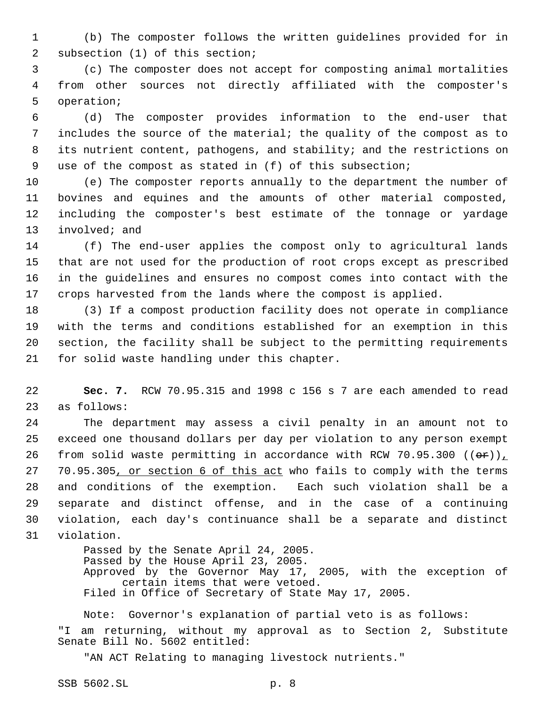(b) The composter follows the written guidelines provided for in subsection (1) of this section;

 (c) The composter does not accept for composting animal mortalities from other sources not directly affiliated with the composter's operation;

 (d) The composter provides information to the end-user that includes the source of the material; the quality of the compost as to its nutrient content, pathogens, and stability; and the restrictions on use of the compost as stated in (f) of this subsection;

 (e) The composter reports annually to the department the number of bovines and equines and the amounts of other material composted, including the composter's best estimate of the tonnage or yardage involved; and

 (f) The end-user applies the compost only to agricultural lands that are not used for the production of root crops except as prescribed in the guidelines and ensures no compost comes into contact with the crops harvested from the lands where the compost is applied.

 (3) If a compost production facility does not operate in compliance with the terms and conditions established for an exemption in this section, the facility shall be subject to the permitting requirements for solid waste handling under this chapter.

 **Sec. 7.** RCW 70.95.315 and 1998 c 156 s 7 are each amended to read as follows:

 The department may assess a civil penalty in an amount not to exceed one thousand dollars per day per violation to any person exempt 26 from solid waste permitting in accordance with RCW 70.95.300  $((\Theta \cdot \mathbf{r}))_L$ 27 70.95.305, or section 6 of this act who fails to comply with the terms and conditions of the exemption. Each such violation shall be a separate and distinct offense, and in the case of a continuing violation, each day's continuance shall be a separate and distinct violation.

Passed by the Senate April 24, 2005. Passed by the House April 23, 2005. Approved by the Governor May 17, 2005, with the exception of certain items that were vetoed. Filed in Office of Secretary of State May 17, 2005.

Note: Governor's explanation of partial veto is as follows: "I am returning, without my approval as to Section 2, Substitute

Senate Bill No. 5602 entitled:

"AN ACT Relating to managing livestock nutrients."

SSB 5602.SL p. 8